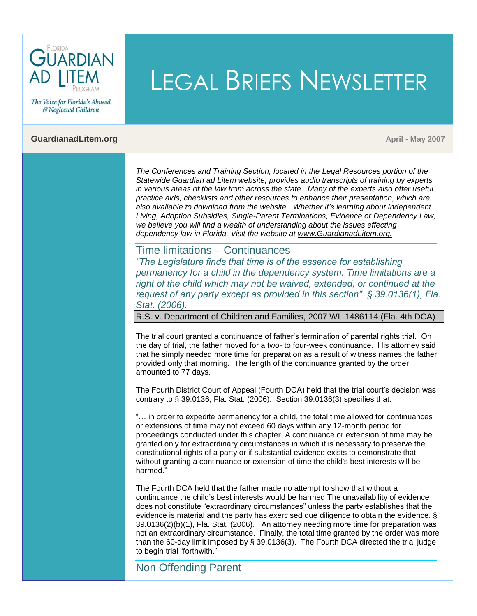

The Voice for Florida's Abused & Neglected Children

#### **GuardianadLitem.org April 2007 April 2007 April 2007 April 2007 April 2007 April 2007 April 2007 April 2007**

*The Conferences and Training Section, located in the Legal Resources portion of the Statewide Guardian ad Litem website, provides audio transcripts of training by experts in various areas of the law from across the state. Many of the experts also offer useful practice aids, checklists and other resources to enhance their presentation, which are also available to download from the website. Whether it's learning about Independent Living, Adoption Subsidies, Single-Parent Terminations, Evidence or Dependency Law,*  we believe you will find a wealth of understanding about the issues effecting *dependency law in Florida. Visit the website at www.GuardianadLitem.org.*

LEGAL BRIEFS NEWSLETTER

## Time limitations – Continuances

*"The Legislature finds that time is of the essence for establishing permanency for a child in the dependency system. Time limitations are a right of the child which may not be waived, extended, or continued at the request of any party except as provided in this section" § 39.0136(1), Fla. Stat. (2006).*

R.S. v. Department of Children and Families, 2007 WL 1486114 (Fla. 4th DCA)

The trial court granted a continuance of father's termination of parental rights trial. On the day of trial, the father moved for a two- to four-week continuance. His attorney said that he simply needed more time for preparation as a result of witness names the father provided only that morning. The length of the continuance granted by the order amounted to 77 days.

The Fourth District Court of Appeal (Fourth DCA) held that the trial court's decision was contrary to § 39.0136, Fla. Stat. (2006). Section 39.0136(3) specifies that:

"… in order to expedite permanency for a child, the total time allowed for continuances or extensions of time may not exceed 60 days within any 12-month period for proceedings conducted under this chapter. A continuance or extension of time may be granted only for extraordinary circumstances in which it is necessary to preserve the constitutional rights of a party or if substantial evidence exists to demonstrate that without granting a continuance or extension of time the child's best interests will be harmed."

The Fourth DCA held that the father made no attempt to show that without a continuance the child's best interests would be harmed The unavailability of evidence does not constitute "extraordinary circumstances" unless the party establishes that the evidence is material and the party has exercised due diligence to obtain the evidence. § 39.0136(2)(b)(1), Fla. Stat. (2006). An attorney needing more time for preparation was not an extraordinary circumstance. Finally, the total time granted by the order was more than the 60-day limit imposed by § 39.0136(3). The Fourth DCA directed the trial judge to begin trial "forthwith."

# Non Offending Parent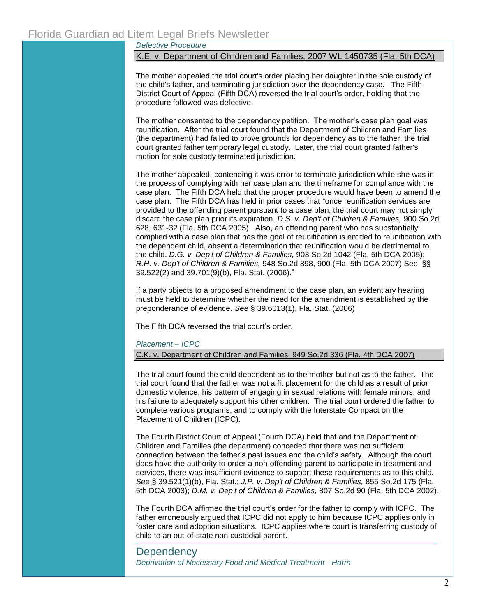*Defective Procedure*

K.E. v. Department of Children and Families, 2007 WL 1450735 (Fla. 5th DCA)

The mother appealed the trial court's order placing her daughter in the sole custody of the child's father, and terminating jurisdiction over the dependency case. The Fifth District Court of Appeal (Fifth DCA) reversed the trial court's order, holding that the procedure followed was defective.

The mother consented to the dependency petition. The mother's case plan goal was reunification. After the trial court found that the Department of Children and Families (the department) had failed to prove grounds for dependency as to the father, the trial court granted father temporary legal custody. Later, the trial court granted father's motion for sole custody terminated jurisdiction.

The mother appealed, contending it was error to terminate jurisdiction while she was in the process of complying with her case plan and the timeframe for compliance with the case plan. The Fifth DCA held that the proper procedure would have been to amend the case plan. The Fifth DCA has held in prior cases that "once reunification services are provided to the offending parent pursuant to a case plan, the trial court may not simply discard the case plan prior its expiration. *D.S. v. Dep't of Children & Families,* 900 So.2d 628, 631-32 (Fla. 5th DCA 2005) Also, an offending parent who has substantially complied with a case plan that has the goal of reunification is entitled to reunification with the dependent child, absent a determination that reunification would be detrimental to the child. *D.G. v. Dep't of Children & Families,* 903 So.2d 1042 (Fla. 5th DCA 2005); *R.H. v. Dep't of Children & Families,* 948 So.2d 898, 900 (Fla. 5th DCA 2007) See §§ 39.522(2) and 39.701(9)(b), Fla. Stat. (2006)."

If a party objects to a proposed amendment to the case plan, an evidentiary hearing must be held to determine whether the need for the amendment is established by the preponderance of evidence. *See* § 39.6013(1), Fla. Stat. (2006)

The Fifth DCA reversed the trial court's order.

### *Placement – ICPC*

C.K. v. Department of Children and Families, 949 So.2d 336 (Fla. 4th DCA 2007)

The trial court found the child dependent as to the mother but not as to the father. The trial court found that the father was not a fit placement for the child as a result of prior domestic violence, his pattern of engaging in sexual relations with female minors, and his failure to adequately support his other children. The trial court ordered the father to complete various programs, and to comply with the Interstate Compact on the Placement of Children (ICPC).

The Fourth District Court of Appeal (Fourth DCA) held that and the Department of Children and Families (the department) conceded that there was not sufficient connection between the father's past issues and the child's safety. Although the court does have the authority to order a non-offending parent to participate in treatment and services, there was insufficient evidence to support these requirements as to this child. *See* § 39.521(1)(b), Fla. Stat.; *J.P. v. Dep't of Children & Families,* 855 So.2d 175 (Fla. 5th DCA 2003); *D.M. v. Dep't of Children & Families,* 807 So.2d 90 (Fla. 5th DCA 2002).

The Fourth DCA affirmed the trial court's order for the father to comply with ICPC. The father erroneously argued that ICPC did not apply to him because ICPC applies only in foster care and adoption situations. ICPC applies where court is transferring custody of child to an out-of-state non custodial parent.

## **Dependency** *Deprivation of Necessary Food and Medical Treatment - Harm*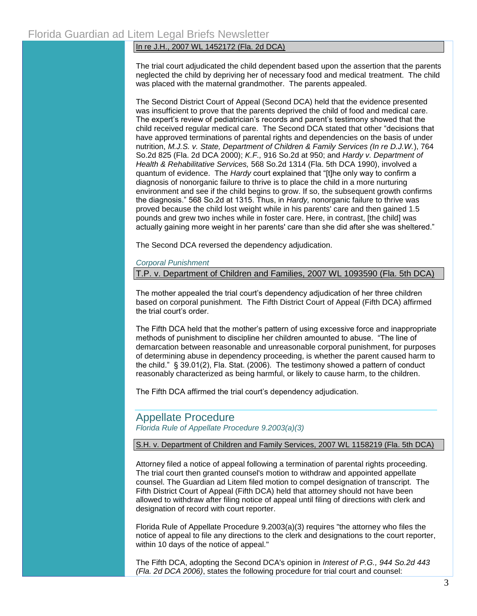### In re J.H., 2007 WL 1452172 (Fla. 2d DCA)

The trial court adjudicated the child dependent based upon the assertion that the parents neglected the child by depriving her of necessary food and medical treatment. The child was placed with the maternal grandmother. The parents appealed.

The Second District Court of Appeal (Second DCA) held that the evidence presented was insufficient to prove that the parents deprived the child of food and medical care. The expert's review of pediatrician's records and parent's testimony showed that the child received regular medical care. The Second DCA stated that other "decisions that have approved terminations of parental rights and dependencies on the basis of under nutrition, *M.J.S. v. State, Department of Children & Family Services (In re D.J.W.*), 764 So.2d 825 (Fla. 2d DCA 2000); *K.F.,* 916 So.2d at 950; and *Hardy v. Department of Health & Rehabilitative Services,* 568 So.2d 1314 (Fla. 5th DCA 1990), involved a quantum of evidence. The *Hardy* court explained that "[t]he only way to confirm a diagnosis of nonorganic failure to thrive is to place the child in a more nurturing environment and see if the child begins to grow. If so, the subsequent growth confirms the diagnosis." 568 So.2d at 1315. Thus, in *Hardy,* nonorganic failure to thrive was proved because the child lost weight while in his parents' care and then gained 1.5 pounds and grew two inches while in foster care. Here, in contrast, [the child] was actually gaining more weight in her parents' care than she did after she was sheltered."

The Second DCA reversed the dependency adjudication.

#### *Corporal Punishment*

T.P. v. Department of Children and Families, 2007 WL 1093590 (Fla. 5th DCA)

The mother appealed the trial court's dependency adjudication of her three children based on corporal punishment. The Fifth District Court of Appeal (Fifth DCA) affirmed the trial court's order.

The Fifth DCA held that the mother's pattern of using excessive force and inappropriate methods of punishment to discipline her children amounted to abuse. "The line of demarcation between reasonable and unreasonable corporal punishment, for purposes of determining abuse in dependency proceeding, is whether the parent caused harm to the child." § 39.01(2), Fla. Stat. (2006). The testimony showed a pattern of conduct reasonably characterized as being harmful, or likely to cause harm, to the children.

The Fifth DCA affirmed the trial court's dependency adjudication.

# Appellate Procedure *Florida Rule of Appellate Procedure 9.2003(a)(3)*

## S.H. v. Department of Children and Family Services, 2007 WL 1158219 (Fla. 5th DCA)

Attorney filed a notice of appeal following a termination of parental rights proceeding. The trial court then granted counsel's motion to withdraw and appointed appellate counsel. The Guardian ad Litem filed motion to compel designation of transcript. The Fifth District Court of Appeal (Fifth DCA) held that attorney should not have been allowed to withdraw after filing notice of appeal until filing of directions with clerk and designation of record with court reporter.

Florida Rule of Appellate Procedure 9.2003(a)(3) requires "the attorney who files the notice of appeal to file any directions to the clerk and designations to the court reporter, within 10 days of the notice of appeal."

The Fifth DCA, adopting the Second DCA's opinion in *Interest of P.G., 944 So.2d 443 (Fla. 2d DCA 2006)*, states the following procedure for trial court and counsel: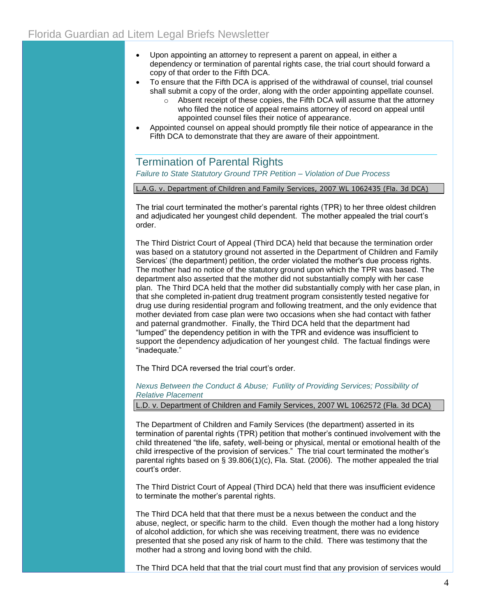- Upon appointing an attorney to represent a parent on appeal, in either a dependency or termination of parental rights case, the trial court should forward a copy of that order to the Fifth DCA.
- To ensure that the Fifth DCA is apprised of the withdrawal of counsel, trial counsel shall submit a copy of the order, along with the order appointing appellate counsel.
	- $\circ$  Absent receipt of these copies, the Fifth DCA will assume that the attorney who filed the notice of appeal remains attorney of record on appeal until appointed counsel files their notice of appearance.
- Appointed counsel on appeal should promptly file their notice of appearance in the Fifth DCA to demonstrate that they are aware of their appointment.

Termination of Parental Rights *Failure to State Statutory Ground TPR Petition – Violation of Due Process*

L.A.G. v. Department of Children and Family Services, 2007 WL 1062435 (Fla. 3d DCA)

The trial court terminated the mother's parental rights (TPR) to her three oldest children and adjudicated her youngest child dependent. The mother appealed the trial court's order.

The Third District Court of Appeal (Third DCA) held that because the termination order was based on a statutory ground not asserted in the Department of Children and Family Services' (the department) petition, the order violated the mother's due process rights. The mother had no notice of the statutory ground upon which the TPR was based. The department also asserted that the mother did not substantially comply with her case plan. The Third DCA held that the mother did substantially comply with her case plan, in that she completed in-patient drug treatment program consistently tested negative for drug use during residential program and following treatment, and the only evidence that mother deviated from case plan were two occasions when she had contact with father and paternal grandmother. Finally, the Third DCA held that the department had "lumped" the dependency petition in with the TPR and evidence was insufficient to support the dependency adjudication of her youngest child. The factual findings were "inadequate."

The Third DCA reversed the trial court's order.

*Nexus Between the Conduct & Abuse; Futility of Providing Services; Possibility of Relative Placement*

L.D. v. Department of Children and Family Services, 2007 WL 1062572 (Fla. 3d DCA)

The Department of Children and Family Services (the department) asserted in its termination of parental rights (TPR) petition that mother's continued involvement with the child threatened "the life, safety, well-being or physical, mental or emotional health of the child irrespective of the provision of services." The trial court terminated the mother's parental rights based on  $\S 39.806(1)(c)$ , Fla. Stat. (2006). The mother appealed the trial court's order.

The Third District Court of Appeal (Third DCA) held that there was insufficient evidence to terminate the mother's parental rights.

The Third DCA held that that there must be a nexus between the conduct and the abuse, neglect, or specific harm to the child. Even though the mother had a long history of alcohol addiction, for which she was receiving treatment, there was no evidence presented that she posed any risk of harm to the child. There was testimony that the mother had a strong and loving bond with the child.

The Third DCA held that that the trial court must find that any provision of services would